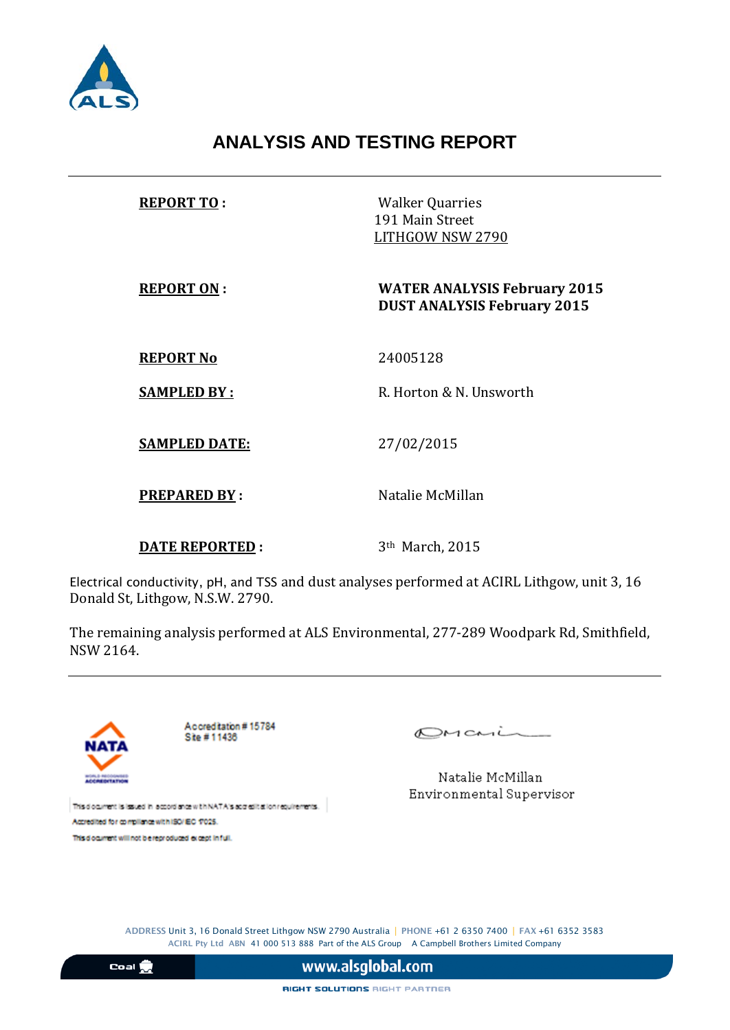

## **ANALYSIS AND TESTING REPORT**

| <b>REPORT TO:</b>     | <b>Walker Quarries</b><br>191 Main Street<br>LITHGOW NSW 2790             |  |
|-----------------------|---------------------------------------------------------------------------|--|
| <b>REPORT ON:</b>     | <b>WATER ANALYSIS February 2015</b><br><b>DUST ANALYSIS February 2015</b> |  |
| <b>REPORT No</b>      | 24005128                                                                  |  |
| <b>SAMPLED BY:</b>    | R. Horton & N. Unsworth                                                   |  |
| <b>SAMPLED DATE:</b>  | 27/02/2015                                                                |  |
| <b>PREPARED BY:</b>   | Natalie McMillan                                                          |  |
| <b>DATE REPORTED:</b> | 3 <sup>th</sup> March, 2015                                               |  |

Electrical conductivity, pH, and TSS and dust analyses performed at ACIRL Lithgow, unit 3, 16 Donald St, Lithgow, N.S.W. 2790.

The remaining analysis performed at ALS Environmental, 277-289 Woodpark Rd, Smithfield, NSW 2164.



Accreditation #15784 Site #11436

 $OMani$ 

Natalie McMillan Environmental Supervisor

This document is issued in accordance with NATA's accredit at lon requirements. Accredited for compilance with ISO/IEC 17025.

This document will not be reproduced except in full.

ADDRESS Unit 3, 16 Donald Street Lithgow NSW 2790 Australia | PHONE +61 2 6350 7400 | FAX +61 6352 3583 ACIRL Pty Ltd ABN 41 000 513 888 Part of the ALS Group A Campbell Brothers Limited Company

 $\frac{1}{2}$ 

www.alsglobal.com

RIGHT SOLUTIONS RIGHT PARTNER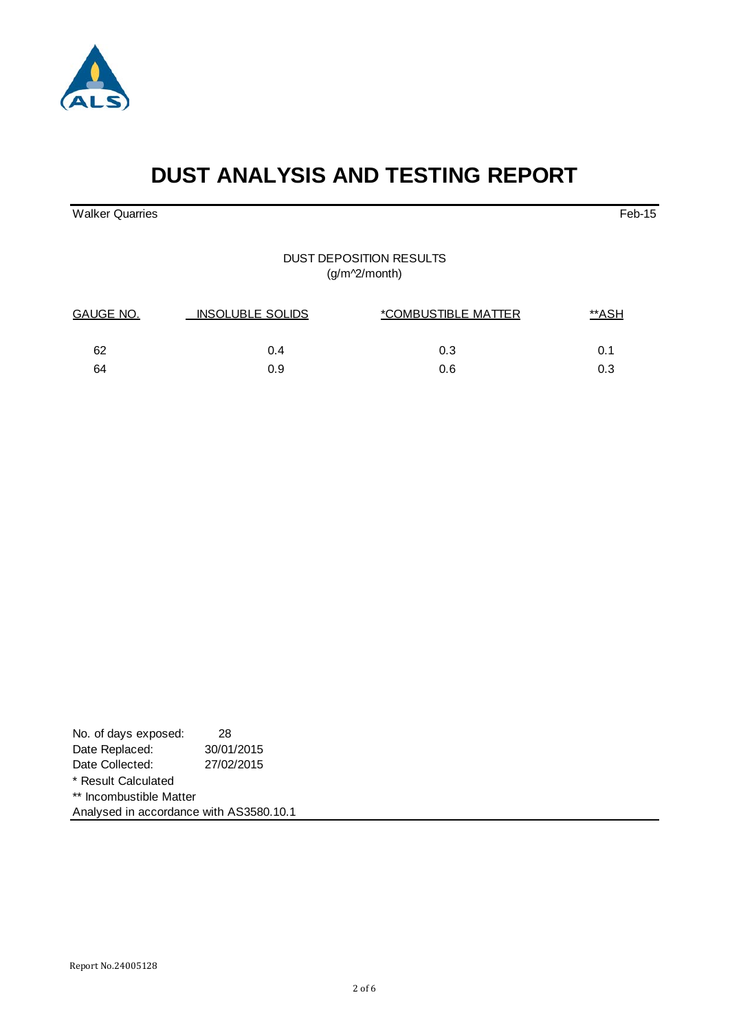

# **DUST ANALYSIS AND TESTING REPORT**

walker Quarries Feb-15

DUST DEPOSITION RESULTS (g/m^2/month)

| GAUGE NO. | <b>INSOLUBLE SOLIDS</b> | *COMBUSTIBLE MATTER | **ASH |
|-----------|-------------------------|---------------------|-------|
| 62        | 0.4                     | 0.3                 | 0.1   |
| 64        | 0.9                     | 0.6                 | 0.3   |

| No. of days exposed:                    | 28         |
|-----------------------------------------|------------|
| Date Replaced:                          | 30/01/2015 |
| Date Collected:                         | 27/02/2015 |
| * Result Calculated                     |            |
| ** Incombustible Matter                 |            |
| Analysed in accordance with AS3580.10.1 |            |

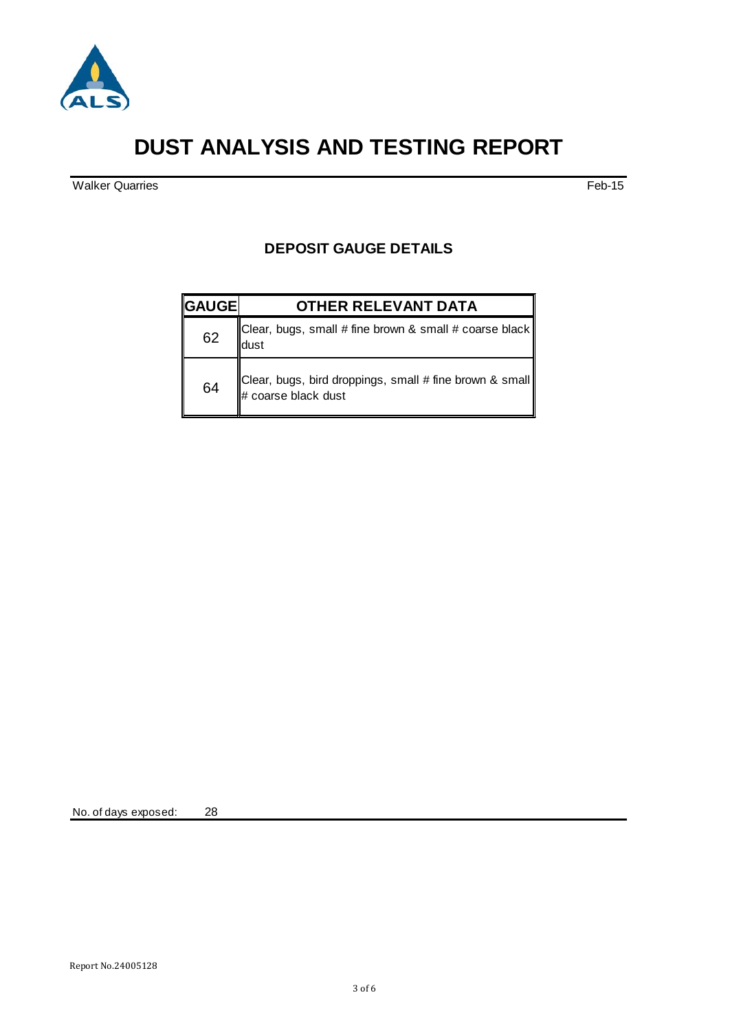

## **DUST ANALYSIS AND TESTING REPORT**

Walker Quarries Feb-15

### **DEPOSIT GAUGE DETAILS**

| <b>GAUGE</b> | <b>OTHER RELEVANT DATA</b>                                                        |
|--------------|-----------------------------------------------------------------------------------|
| 62           | Clear, bugs, small # fine brown & small # coarse black $\parallel$<br>dust        |
| 64           | Clear, bugs, bird droppings, small # fine brown & small   <br># coarse black dust |

No. of days exposed: 28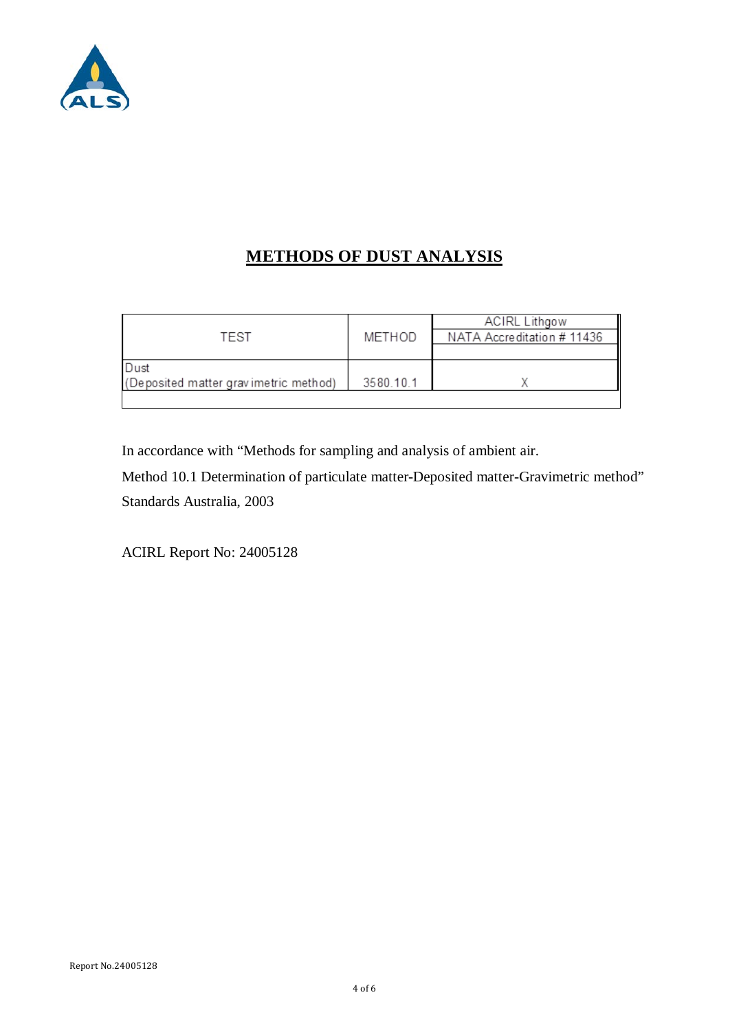

## **METHODS OF DUST ANALYSIS**

|                                       |           | <b>ACIRL Lithgow</b>       |
|---------------------------------------|-----------|----------------------------|
| TEST                                  | METHOD    | NATA Accreditation # 11436 |
|                                       |           |                            |
| Dust                                  |           |                            |
| (Deposited matter gravimetric method) | 3580.10.1 |                            |
|                                       |           |                            |

In accordance with "Methods for sampling and analysis of ambient air.

Method 10.1 Determination of particulate matter-Deposited matter-Gravimetric method" Standards Australia, 2003

ACIRL Report No: 24005128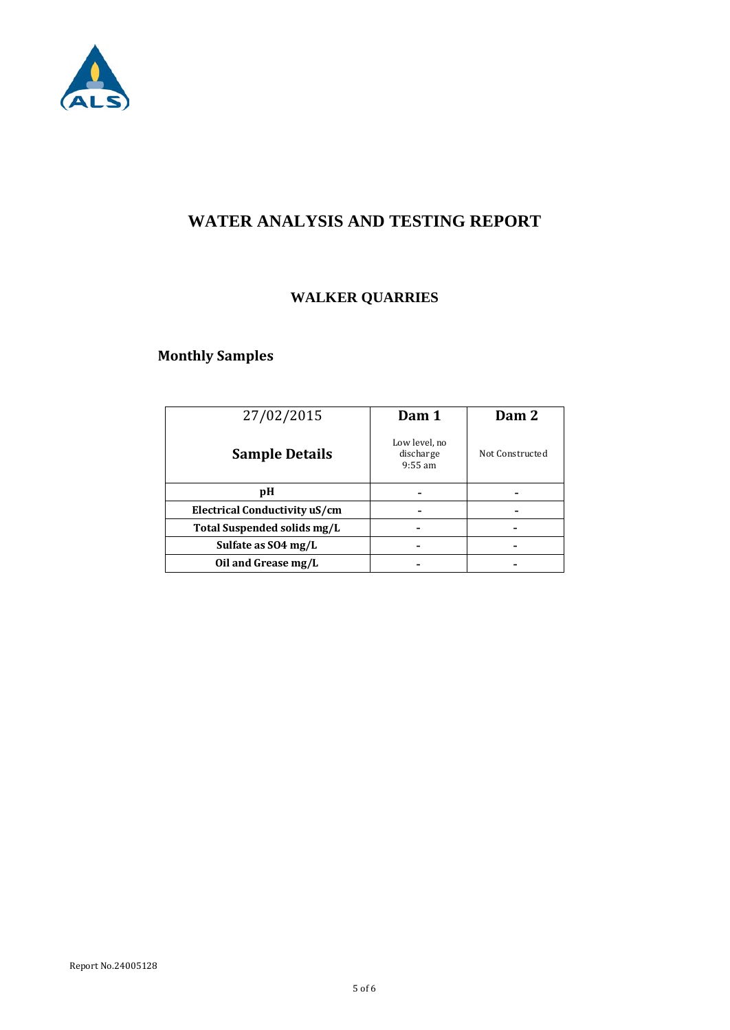

### **WATER ANALYSIS AND TESTING REPORT**

### **WALKER QUARRIES**

### **Monthly Samples**

| 27/02/2015                    | Dam 1                                   | Dam 2           |
|-------------------------------|-----------------------------------------|-----------------|
| <b>Sample Details</b>         | Low level, no<br>discharge<br>$9:55$ am | Not Constructed |
| рH                            |                                         |                 |
| Electrical Conductivity uS/cm |                                         |                 |
| Total Suspended solids mg/L   |                                         |                 |
| Sulfate as SO4 mg/L           |                                         |                 |
| Oil and Grease mg/L           |                                         |                 |